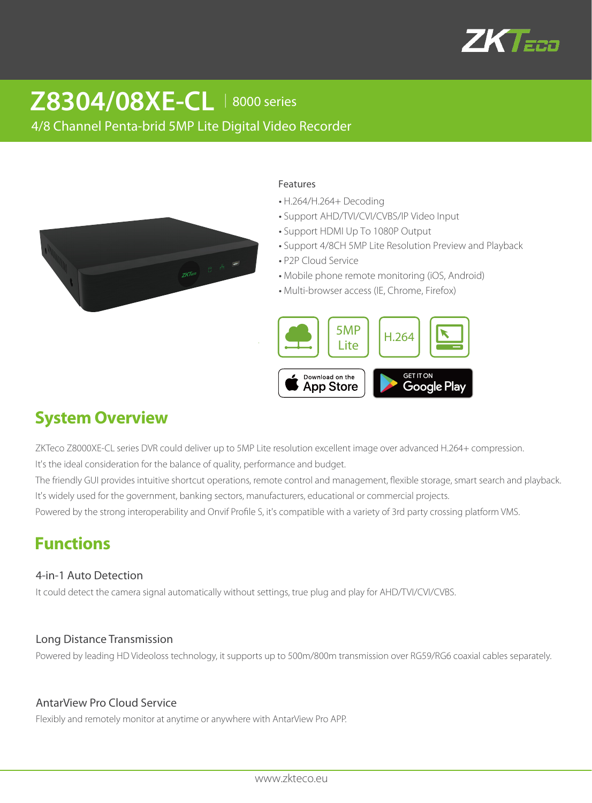

# **Z8304/08XE-CL** │8000 series

4/8 Channel Penta-brid 5MP Lite Digital Video Recorder



#### Features

- H.264/H.264+ Decoding
- Support AHD/TVI/CVI/CVBS/IP Video Input
- Support HDMI Up To 1080P Output
- Support 4/8CH 5MP Lite Resolution Preview and Playback
- P2P Cloud Service
- Mobile phone remote monitoring (iOS, Android)
- Multi-browser access (IE, Chrome, Firefox)



# **System Overview**

ZKTeco Z8000XE-CL series DVR could deliver up to 5MP Lite resolution excellent image over advanced H.264+ compression. It's the ideal consideration for the balance of quality, performance and budget.

The friendly GUI provides intuitive shortcut operations, remote control and management, flexible storage, smart search and playback. It's widely used for the government, banking sectors, manufacturers, educational or commercial projects.

Powered by the strong interoperability and Onvif Profile S, it's compatible with a variety of 3rd party crossing platform VMS.

## **Functions**

### 4-in-1 Auto Detection

It could detect the camera signal automatically without settings, true plug and play for AHD/TVI/CVI/CVBS.

### Long Distance Transmission

Powered by leading HD Videoloss technology, it supports up to 500m/800m transmission over RG59/RG6 coaxial cables separately.

### AntarView Pro Cloud Service

Flexibly and remotely monitor at anytime or anywhere with AntarView Pro APP.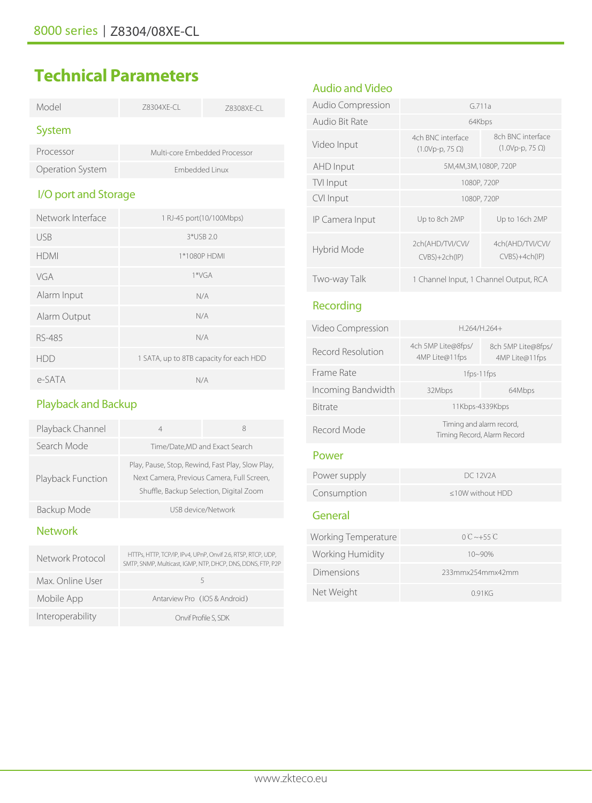# **Technical Parameters**

| Model                   | 78304XF-CL     | Z8308XE-CL                    |
|-------------------------|----------------|-------------------------------|
| System                  |                |                               |
| Processor               |                | Multi-core Embedded Processor |
| <b>Operation System</b> | Embedded Linux |                               |
| I/O port and Storage    |                |                               |
| Network Interface       |                | 1 RJ-45 port(10/100Mbps)      |
| USB                     |                | $3*USB$ 2.0                   |
| hdmi                    |                | 1*1080P HDMI                  |
|                         |                |                               |

| VGA          | $1*VGA$                                 |
|--------------|-----------------------------------------|
| Alarm Input  | N/A                                     |
| Alarm Output | N/A                                     |
| RS-485       | N/A                                     |
| HDD          | 1 SATA, up to 8TB capacity for each HDD |
| e-SATA       | N/A                                     |

### Playback and Backup

| Playback Channel  | 4                                                                                                                                         | 8                  |
|-------------------|-------------------------------------------------------------------------------------------------------------------------------------------|--------------------|
| Search Mode       | Time/Date, MD and Exact Search                                                                                                            |                    |
| Playback Function | Play, Pause, Stop, Rewind, Fast Play, Slow Play,<br>Next Camera, Previous Camera, Full Screen,<br>Shuffle, Backup Selection, Digital Zoom |                    |
| Backup Mode       |                                                                                                                                           | USB device/Network |

### Network

| Network Protocol | HTTPs, HTTP, TCP/IP, IPv4, UPnP, Onvif 2.6, RTSP, RTCP, UDP,<br>SMTP, SNMP, Multicast, IGMP, NTP, DHCP, DNS, DDNS, FTP, P2P |
|------------------|-----------------------------------------------------------------------------------------------------------------------------|
| Max. Online User |                                                                                                                             |
| Mobile App       | Antarview Pro (IOS & Android)                                                                                               |
| Interoperability | Onvif Profile S, SDK                                                                                                        |

### Audio and Video

| <b>Audio Compression</b> | G <sub>711a</sub>                           |                                             |
|--------------------------|---------------------------------------------|---------------------------------------------|
| Audio Bit Rate           | 64Kbps                                      |                                             |
| Video Input              | 4ch BNC interface<br>$(1.0Vp-p, 75 \Omega)$ | 8ch BNC interface<br>$(1.0Vp-p, 75 \Omega)$ |
| AHD Input                | 5M,4M,3M,1080P,720P                         |                                             |
| TVI Input                | 1080P, 720P                                 |                                             |
| CVI Input                | 1080P, 720P                                 |                                             |
| IP Camera Input          | Up to 8ch 2MP                               | Up to 16ch 2MP                              |
| Hybrid Mode              | 2ch(AHD/TVI/CVI/<br>$CVBS$ )+2ch(IP)        | 4ch(AHD/TVI/CVI/<br>CVBS)+4ch(IP)           |
| Two-way Talk             | 1 Channel Input, 1 Channel Output, RCA      |                                             |

### Recording

Net Weight

| Video Compression        | H.264/H.264+                                            |                                      |
|--------------------------|---------------------------------------------------------|--------------------------------------|
| <b>Record Resolution</b> | 4ch 5MP Lite@8fps/<br>4MP Lite@11fps                    | 8ch 5MP Lite@8fps/<br>4MP Lite@11fps |
| Frame Rate               | 1fps-11fps                                              |                                      |
| Incoming Bandwidth       | 32Mbps                                                  | 64Mbps                               |
| <b>Bitrate</b>           | 11Kbps-4339Kbps                                         |                                      |
| Record Mode              | Timing and alarm record,<br>Timing Record, Alarm Record |                                      |
| Power                    |                                                         |                                      |
| Power supply             | DC 12V2A                                                |                                      |
| Consumption              | <10W without HDD                                        |                                      |
| General                  |                                                         |                                      |
| Working Temperature      | $0^\circ$ C ~+55 $\circ$ C                              |                                      |
| Working Humidity         | $10 - 90%$                                              |                                      |
| Dimensions               | 233mmx254mmx42mm                                        |                                      |

0.91KG